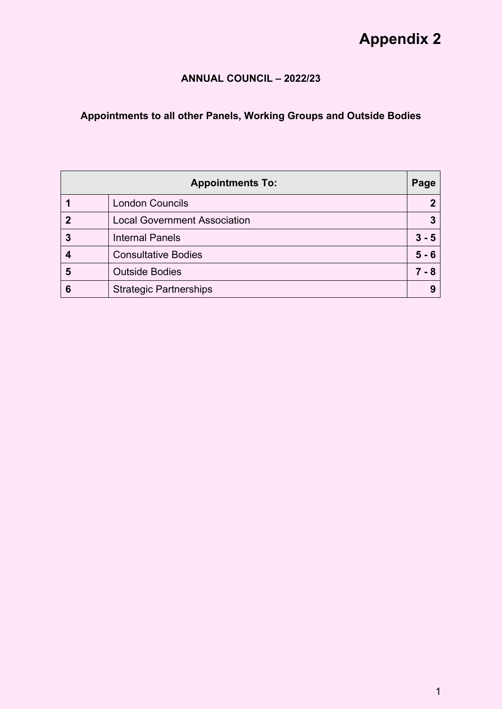## **ANNUAL COUNCIL – 2022/23**

## **Appointments to all other Panels, Working Groups and Outside Bodies**

| <b>Appointments To:</b> |                                     |         |
|-------------------------|-------------------------------------|---------|
|                         | <b>London Councils</b>              |         |
| 2                       | <b>Local Government Association</b> |         |
| 3                       | <b>Internal Panels</b>              | $3 - 5$ |
|                         | <b>Consultative Bodies</b>          | $5 - 6$ |
| 5                       | <b>Outside Bodies</b>               | 7 - 8   |
| 6                       | <b>Strategic Partnerships</b>       |         |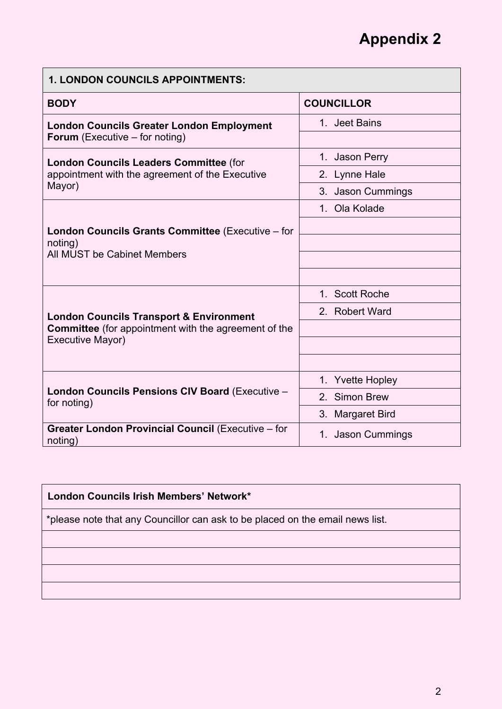| <b>1. LONDON COUNCILS APPOINTMENTS:</b>                               |                   |
|-----------------------------------------------------------------------|-------------------|
| <b>BODY</b>                                                           | <b>COUNCILLOR</b> |
| <b>London Councils Greater London Employment</b>                      | 1. Jeet Bains     |
| <b>Forum</b> (Executive $-$ for noting)                               |                   |
| London Councils Leaders Committee (for                                | 1. Jason Perry    |
| appointment with the agreement of the Executive                       | 2. Lynne Hale     |
| Mayor)                                                                | 3. Jason Cummings |
|                                                                       | 1. Ola Kolade     |
| <b>London Councils Grants Committee (Executive – for</b>              |                   |
| noting)                                                               |                   |
| All MUST be Cabinet Members                                           |                   |
|                                                                       |                   |
|                                                                       | 1. Scott Roche    |
| <b>London Councils Transport &amp; Environment</b>                    | 2. Robert Ward    |
| <b>Committee</b> (for appointment with the agreement of the           |                   |
| Executive Mayor)                                                      |                   |
|                                                                       |                   |
|                                                                       | 1. Yvette Hopley  |
| <b>London Councils Pensions CIV Board (Executive -</b><br>for noting) | 2. Simon Brew     |
|                                                                       | 3. Margaret Bird  |
| <b>Greater London Provincial Council (Executive - for</b><br>noting)  | 1. Jason Cummings |

## **London Councils Irish Members' Network\***

\*please note that any Councillor can ask to be placed on the email news list.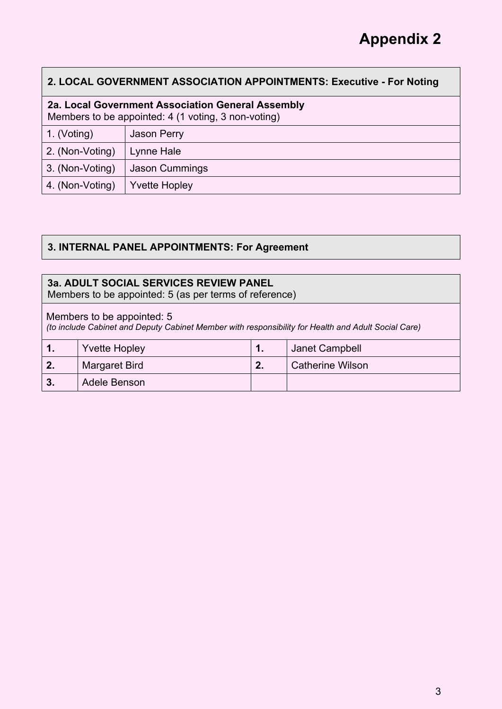| 2. LOCAL GOVERNMENT ASSOCIATION APPOINTMENTS: Executive - For Noting                                     |                       |  |  |  |
|----------------------------------------------------------------------------------------------------------|-----------------------|--|--|--|
| 2a. Local Government Association General Assembly<br>Members to be appointed: 4 (1 voting, 3 non-voting) |                       |  |  |  |
| 1. (Voting)                                                                                              | <b>Jason Perry</b>    |  |  |  |
| 2. (Non-Voting)                                                                                          | Lynne Hale            |  |  |  |
| 3. (Non-Voting)                                                                                          | <b>Jason Cummings</b> |  |  |  |
| 4. (Non-Voting)                                                                                          | <b>Yvette Hopley</b>  |  |  |  |

### **3. INTERNAL PANEL APPOINTMENTS: For Agreement**

### **3a. ADULT SOCIAL SERVICES REVIEW PANEL**

Members to be appointed: 5 (as per terms of reference)

#### Members to be appointed: 5

*(to include Cabinet and Deputy Cabinet Member with responsibility for Health and Adult Social Care)*

|    | <b>Yvette Hopley</b> | . . | Janet Campbell          |
|----|----------------------|-----|-------------------------|
|    | Margaret Bird        | ø   | <b>Catherine Wilson</b> |
| 3. | Adele Benson         |     |                         |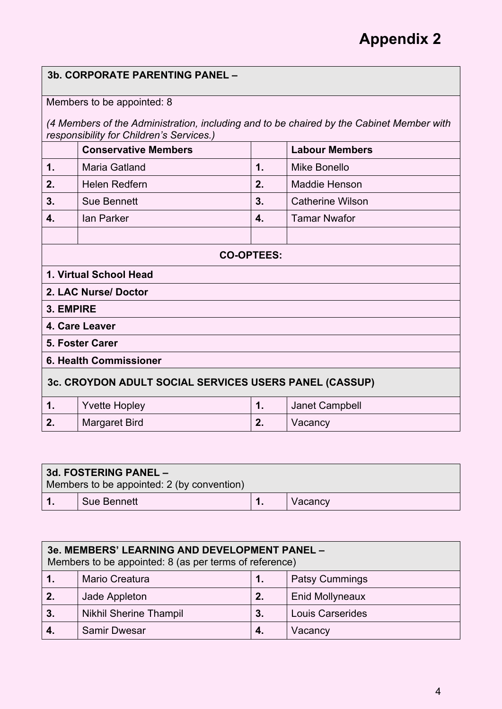### **3b. CORPORATE PARENTING PANEL –**

Members to be appointed: 8

*(4 Members of the Administration, including and to be chaired by the Cabinet Member with responsibility for Children's Services.)*

|                                                        | <b>Conservative Members</b>   |                   | <b>Labour Members</b>   |  |
|--------------------------------------------------------|-------------------------------|-------------------|-------------------------|--|
| 1.                                                     | Maria Gatland                 | $\mathbf 1$ .     | Mike Bonello            |  |
| 2.                                                     | <b>Helen Redfern</b>          | 2.                | <b>Maddie Henson</b>    |  |
| 3.                                                     | <b>Sue Bennett</b>            | 3.                | <b>Catherine Wilson</b> |  |
| 4.                                                     | lan Parker                    | 4.                | <b>Tamar Nwafor</b>     |  |
|                                                        |                               |                   |                         |  |
|                                                        |                               | <b>CO-OPTEES:</b> |                         |  |
|                                                        | 1. Virtual School Head        |                   |                         |  |
|                                                        | 2. LAC Nurse/Doctor           |                   |                         |  |
| 3. EMPIRE                                              |                               |                   |                         |  |
|                                                        | 4. Care Leaver                |                   |                         |  |
|                                                        | 5. Foster Carer               |                   |                         |  |
|                                                        | <b>6. Health Commissioner</b> |                   |                         |  |
| 3c. CROYDON ADULT SOCIAL SERVICES USERS PANEL (CASSUP) |                               |                   |                         |  |
| 1.                                                     | <b>Yvette Hopley</b>          | $\mathbf 1$ .     | Janet Campbell          |  |
| 2.                                                     | <b>Margaret Bird</b>          | 2.                | Vacancy                 |  |

| 3d. FOSTERING PANEL -<br>Members to be appointed: 2 (by convention) |                    |  |         |
|---------------------------------------------------------------------|--------------------|--|---------|
|                                                                     | <b>Sue Bennett</b> |  | Vacancy |

| 3e. MEMBERS' LEARNING AND DEVELOPMENT PANEL -<br>Members to be appointed: 8 (as per terms of reference) |                                                                |    |                        |  |
|---------------------------------------------------------------------------------------------------------|----------------------------------------------------------------|----|------------------------|--|
|                                                                                                         | <b>Mario Creatura</b><br><b>Patsy Cummings</b><br>1.           |    |                        |  |
| 2.                                                                                                      | Jade Appleton                                                  | 2. | <b>Enid Mollyneaux</b> |  |
| 3.                                                                                                      | <b>Nikhil Sherine Thampil</b><br><b>Louis Carserides</b><br>3. |    |                        |  |
|                                                                                                         | <b>Samir Dwesar</b><br>Vacancy<br>4.                           |    |                        |  |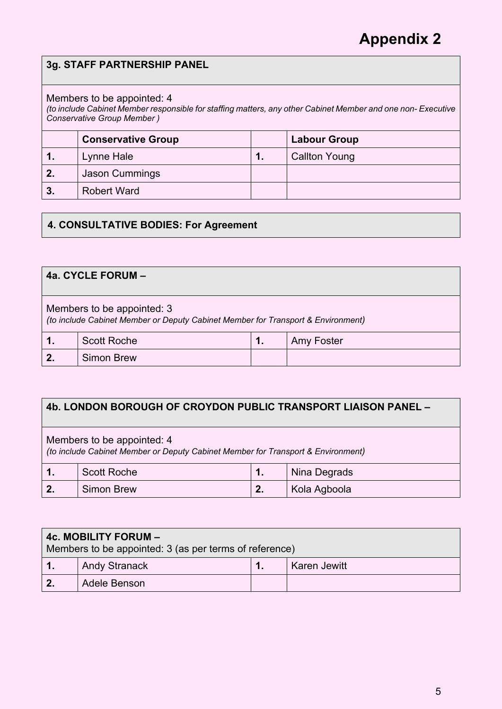### **3g. STAFF PARTNERSHIP PANEL**

#### Members to be appointed: 4

*(to include Cabinet Member responsible for staffing matters, any other Cabinet Member and one non- Executive Conservative Group Member )*

| <b>Conservative Group</b> | <b>Labour Group</b>  |
|---------------------------|----------------------|
| Lynne Hale                | <b>Callton Young</b> |
| Jason Cummings            |                      |
| <b>Robert Ward</b>        |                      |

### **4. CONSULTATIVE BODIES: For Agreement**

| 4a. CYCLE FORUM - |                                                                                                                |  |  |  |  |
|-------------------|----------------------------------------------------------------------------------------------------------------|--|--|--|--|
|                   | Members to be appointed: 3<br>(to include Cabinet Member or Deputy Cabinet Member for Transport & Environment) |  |  |  |  |
|                   | <b>Scott Roche</b><br>Amy Foster<br>1.                                                                         |  |  |  |  |
| 2.                | Simon Brew                                                                                                     |  |  |  |  |

### **4b. LONDON BOROUGH OF CROYDON PUBLIC TRANSPORT LIAISON PANEL –**

Members to be appointed: 4 *(to include Cabinet Member or Deputy Cabinet Member for Transport & Environment)*

|   | <b>Scott Roche</b> | Nina Degrads |
|---|--------------------|--------------|
| ∍ | <b>Simon Brew</b>  | Kola Agboola |

| <b>4c. MOBILITY FORUM -</b><br>Members to be appointed: 3 (as per terms of reference) |                      |  |                     |
|---------------------------------------------------------------------------------------|----------------------|--|---------------------|
|                                                                                       | <b>Andy Stranack</b> |  | <b>Karen Jewitt</b> |
| 2                                                                                     | Adele Benson         |  |                     |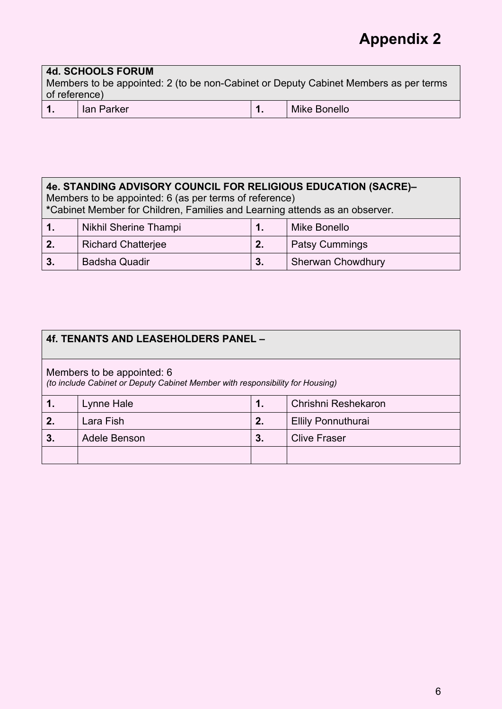## **4d. SCHOOLS FORUM**

|               | Members to be appointed: 2 (to be non-Cabinet or Deputy Cabinet Members as per terms |  |  |  |  |  |
|---------------|--------------------------------------------------------------------------------------|--|--|--|--|--|
| of reference) |                                                                                      |  |  |  |  |  |
|               |                                                                                      |  |  |  |  |  |

| $ -$<br>.<br>.<br>eliu<br>w<br>--<br>. |  |
|----------------------------------------|--|
|----------------------------------------|--|

| 4e. STANDING ADVISORY COUNCIL FOR RELIGIOUS EDUCATION (SACRE)-<br>Members to be appointed: 6 (as per terms of reference)<br>*Cabinet Member for Children, Families and Learning attends as an observer. |                              |    |                          |
|---------------------------------------------------------------------------------------------------------------------------------------------------------------------------------------------------------|------------------------------|----|--------------------------|
| $\mathbf{1}$ .                                                                                                                                                                                          | <b>Nikhil Sherine Thampi</b> | 1. | Mike Bonello             |
| 2.                                                                                                                                                                                                      | <b>Richard Chatterjee</b>    | 2. | <b>Patsy Cummings</b>    |
| 3.                                                                                                                                                                                                      | <b>Badsha Quadir</b>         | 3. | <b>Sherwan Chowdhury</b> |

| 4f. TENANTS AND LEASEHOLDERS PANEL -                                                                        |              |    |                           |
|-------------------------------------------------------------------------------------------------------------|--------------|----|---------------------------|
| Members to be appointed: 6<br>(to include Cabinet or Deputy Cabinet Member with responsibility for Housing) |              |    |                           |
| 1.                                                                                                          | Lynne Hale   | 1. | Chrishni Reshekaron       |
| 2.                                                                                                          | Lara Fish    | 2. | <b>Ellily Ponnuthurai</b> |
| 3.                                                                                                          | Adele Benson | 3. | <b>Clive Fraser</b>       |
|                                                                                                             |              |    |                           |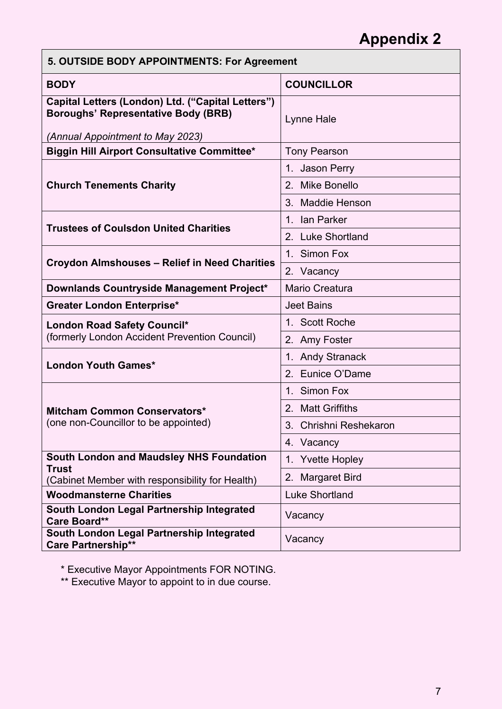| 5. OUTSIDE BODY APPOINTMENTS: For Agreement                                                                                         |                            |  |
|-------------------------------------------------------------------------------------------------------------------------------------|----------------------------|--|
| <b>BODY</b>                                                                                                                         | <b>COUNCILLOR</b>          |  |
| Capital Letters (London) Ltd. ("Capital Letters")<br><b>Boroughs' Representative Body (BRB)</b><br>(Annual Appointment to May 2023) | Lynne Hale                 |  |
| <b>Biggin Hill Airport Consultative Committee*</b>                                                                                  | <b>Tony Pearson</b>        |  |
|                                                                                                                                     | 1. Jason Perry             |  |
| <b>Church Tenements Charity</b>                                                                                                     | 2. Mike Bonello            |  |
|                                                                                                                                     | 3. Maddie Henson           |  |
|                                                                                                                                     | 1. Ian Parker              |  |
| <b>Trustees of Coulsdon United Charities</b>                                                                                        | 2. Luke Shortland          |  |
|                                                                                                                                     | 1. Simon Fox               |  |
| Croydon Almshouses - Relief in Need Charities                                                                                       | 2. Vacancy                 |  |
| Downlands Countryside Management Project*                                                                                           | <b>Mario Creatura</b>      |  |
| <b>Greater London Enterprise*</b>                                                                                                   | <b>Jeet Bains</b>          |  |
| London Road Safety Council*                                                                                                         | 1. Scott Roche             |  |
| (formerly London Accident Prevention Council)                                                                                       | 2. Amy Foster              |  |
| <b>London Youth Games*</b>                                                                                                          | 1. Andy Stranack           |  |
|                                                                                                                                     | 2. Eunice O'Dame           |  |
|                                                                                                                                     | 1. Simon Fox               |  |
| <b>Mitcham Common Conservators*</b>                                                                                                 | 2. Matt Griffiths          |  |
| (one non-Councillor to be appointed)                                                                                                | 3. Chrishni Reshekaron     |  |
|                                                                                                                                     | 4. Vacancy                 |  |
| South London and Maudsley NHS Foundation                                                                                            | <b>Yvette Hopley</b><br>1. |  |
| Trust<br>(Cabinet Member with responsibility for Health)                                                                            | 2. Margaret Bird           |  |
| <b>Woodmansterne Charities</b>                                                                                                      | <b>Luke Shortland</b>      |  |
| South London Legal Partnership Integrated<br>Care Board**                                                                           | Vacancy                    |  |
| South London Legal Partnership Integrated<br><b>Care Partnership**</b>                                                              | Vacancy                    |  |

\* Executive Mayor Appointments FOR NOTING.

\*\* Executive Mayor to appoint to in due course.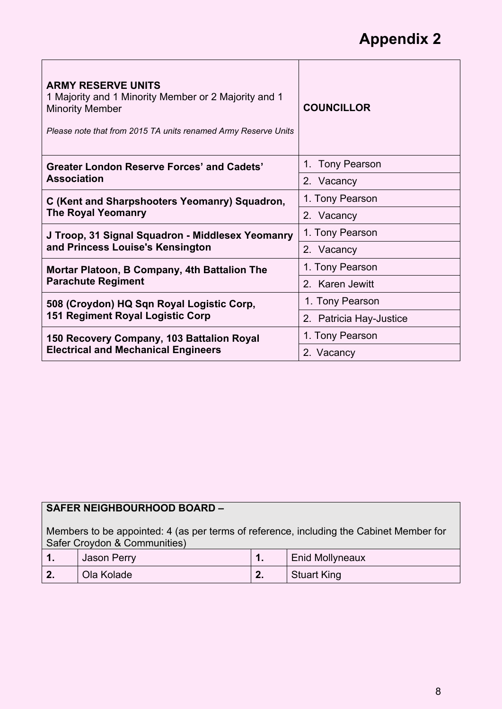| <b>ARMY RESERVE UNITS</b><br>1 Majority and 1 Minority Member or 2 Majority and 1<br><b>Minority Member</b><br>Please note that from 2015 TA units renamed Army Reserve Units | <b>COUNCILLOR</b>         |
|-------------------------------------------------------------------------------------------------------------------------------------------------------------------------------|---------------------------|
| <b>Greater London Reserve Forces' and Cadets'</b>                                                                                                                             | <b>Tony Pearson</b><br>1. |
| <b>Association</b>                                                                                                                                                            | 2. Vacancy                |
| C (Kent and Sharpshooters Yeomanry) Squadron,                                                                                                                                 | 1. Tony Pearson           |
| <b>The Royal Yeomanry</b>                                                                                                                                                     | 2. Vacancy                |
| J Troop, 31 Signal Squadron - Middlesex Yeomanry                                                                                                                              | 1. Tony Pearson           |
| and Princess Louise's Kensington                                                                                                                                              | 2. Vacancy                |
| Mortar Platoon, B Company, 4th Battalion The                                                                                                                                  | 1. Tony Pearson           |
| <b>Parachute Regiment</b>                                                                                                                                                     | 2. Karen Jewitt           |
| 508 (Croydon) HQ Sqn Royal Logistic Corp,<br><b>151 Regiment Royal Logistic Corp</b>                                                                                          | 1. Tony Pearson           |
|                                                                                                                                                                               | 2. Patricia Hay-Justice   |
| 150 Recovery Company, 103 Battalion Royal                                                                                                                                     | 1. Tony Pearson           |
| <b>Electrical and Mechanical Engineers</b>                                                                                                                                    | 2. Vacancy                |

## **SAFER NEIGHBOURHOOD BOARD –**

Members to be appointed: 4 (as per terms of reference, including the Cabinet Member for Safer Croydon & Communities)

| . . | √Jason Perry |     | <b>Enid Mollyneaux</b> |
|-----|--------------|-----|------------------------|
|     | Ola Kolade   | . . | <b>Stuart King</b>     |